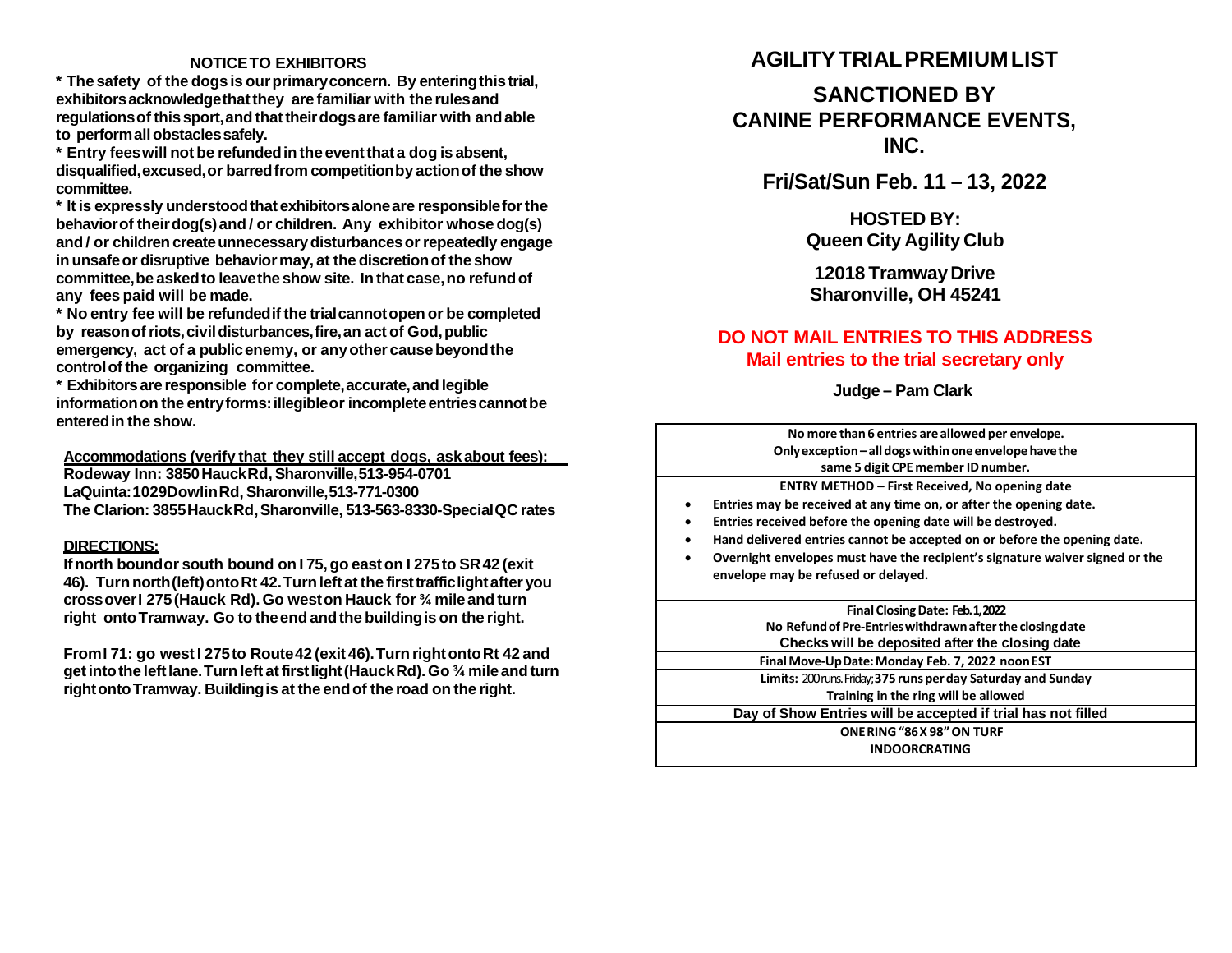#### **NOTICETO EXHIBITORS**

**\* The safety of the dogs is ourprimaryconcern. By enteringthistrial, exhibitorsacknowledgethatthey are familiar with the rulesand regulationsof thissport,and thattheirdogsare familiar with andable to performallobstaclessafely.**

**\* Entry feeswill not be refundedin the eventthata dog is absent, disqualified,excused,or barredfrom competitionby actionof the show committee.**

**\* It is expressly understoodthat exhibitorsaloneare responsibleforthe behaviorof theirdog(s)and / or children. Any exhibitor whose dog(s) and / or childrencreateunnecessarydisturbancesorrepeatedly engage inunsafeor disruptive behaviormay, at the discretionof the show committee,be askedto leavethe show site. In that case,no refundof any fees paid will be made.**

**\* No entry fee will be refundedifthe trialcannotopenor be completed by reasonofriots,civildisturbances,fire,an act of God,public emergency, act of a publicenemy, or anyother causebeyondthe controlofthe organizing committee.**

**\* Exhibitorsare responsible for complete,accurate,and legible informationon the entryforms:illegibleor incompleteentriescannotbe enteredin the show.**

**Accommodations (verify that they still accept dogs, askabout fees): Rodeway Inn: 3850HauckRd,Sharonville,513-954-0701 LaQuinta:1029DowlinRd,Sharonville,513-771-0300 The Clarion: 3855HauckRd,Sharonville, 513-563-8330-SpecialQC rates**

#### **DIRECTIONS:**

**Ifnorth boundor south bound on I 75,go easton I 275to SR42 (exit 46). Turnnorth(left)ontoRt 42.Turnleftat the firsttrafficlightafter you crossoverI 275(Hauck Rd). Go weston Hauck for ¾ mile and turn right ontoTramway. Go to theendandthe buildingis on the right.**

**FromI 71: go westI 275to Route42 (exit 46).Turn rightontoRt 42 and getintothe leftlane.Turnleft atfirstlight(HauckRd).Go ¾ mileandturn rightontoTramway. Buildingis at the endof the road on the right.**

## **AGILITYTRIAL PREMIUMLIST**

## **SANCTIONED BY CANINE PERFORMANCE EVENTS, INC.**

**Fri/Sat/Sun Feb. 11 – 13, 2022**

**HOSTED BY: Queen City Agility Club**

**12018 TramwayDrive Sharonville, OH 45241**

### **DO NOT MAIL ENTRIES TO THIS ADDRESS Mail entries to the trial secretary only**

**Judge – Pam Clark**

**No more than6 entries are allowed per envelope. Onlyexception–alldogswithinoneenvelopehavethe same 5 digit CPE memberID number. ENTRY METHOD – First Received, No opening date** • **Entries may be received at any time on, or after the opening date.** • **Entries received before the opening date will be destroyed.** • **Hand delivered entries cannot be accepted on or before the opening date.** • **Overnight envelopes must have the recipient's signature waiver signed or the envelope may be refused or delayed. Final ClosingDate: Feb. 1, 2022 No Refundof Pre‐Entrieswithdrawnafterthe closingdate Checks will be deposited after the closing date FinalMove‐UpDate:Monday Feb. 7, 2022 noonEST Limits:** 200 runs. Friday;**375 runsperday Saturday and Sunday Training in the ring will be allowed Day of Show Entries will be accepted if trial has not filled ONERING"86X 98"ON TURF INDOORCRATING**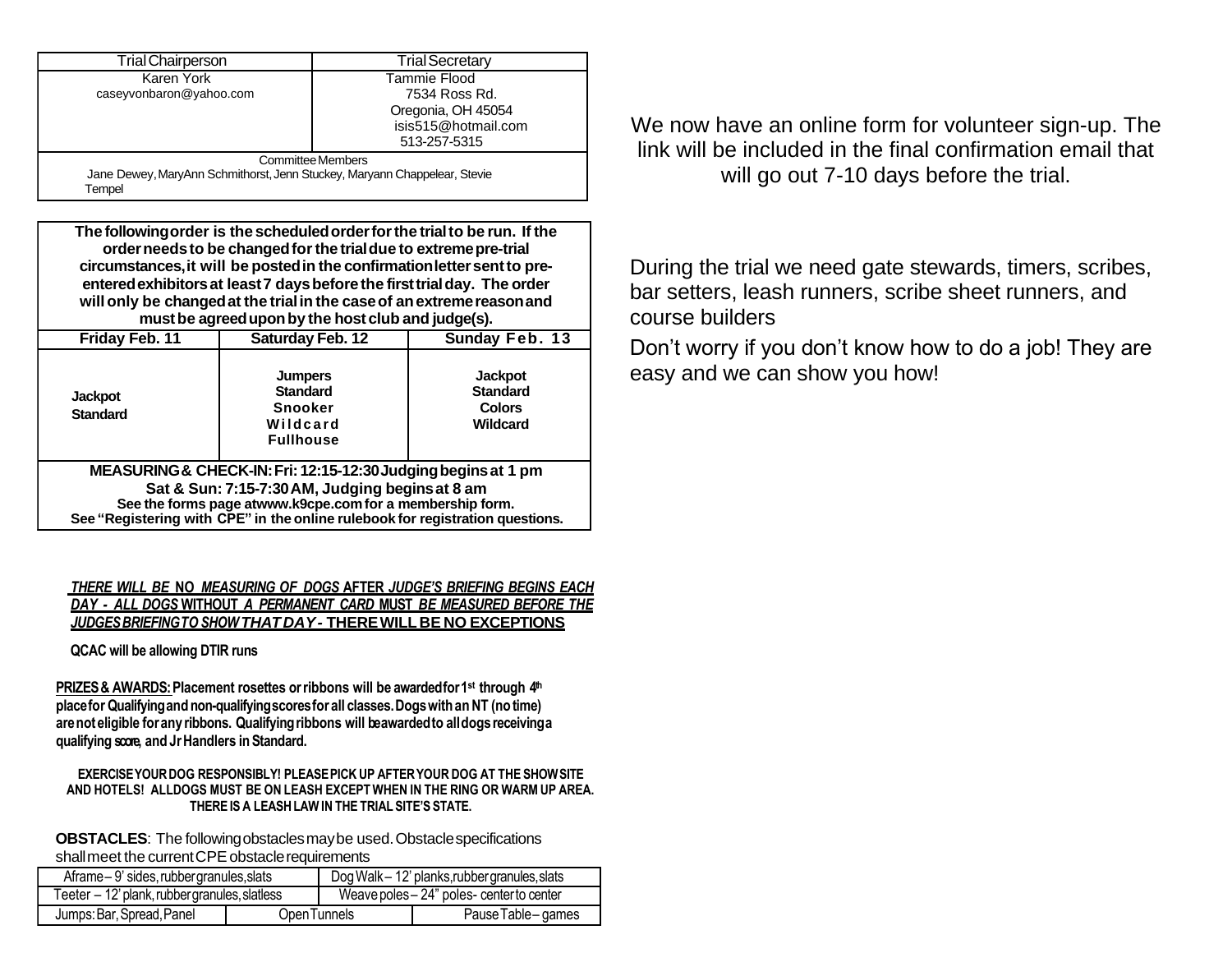| <b>Trial Chairperson</b>                                                            | <b>Trial Secretary</b> |  |
|-------------------------------------------------------------------------------------|------------------------|--|
| Karen York                                                                          | Tammie Flood           |  |
| caseyvonbaron@yahoo.com                                                             | 7534 Ross Rd.          |  |
|                                                                                     | Oregonia, OH 45054     |  |
|                                                                                     | isis515@hotmail.com    |  |
|                                                                                     | 513-257-5315           |  |
| <b>Committee Members</b>                                                            |                        |  |
| Jane Dewey, MaryAnn Schmithorst, Jenn Stuckey, Maryann Chappelear, Stevie<br>Tempel |                        |  |

**The followingorder is the scheduledorderforthe trialto be run. If the orderneedsto be changedforthe trialdue to extremepre-trial circumstances,it will be postedin the confirmationlettersentto preenteredexhibitorsat least7 daysbeforethe firsttrialday. The order will only be changedat the trialin the caseof anextremereasonand mustbe agreeduponby the host club and judge(s).**

| Friday Feb. 11                                                                | Saturday Feb. 12                                                                    | Sunday Feb. 13                                                 |  |  |
|-------------------------------------------------------------------------------|-------------------------------------------------------------------------------------|----------------------------------------------------------------|--|--|
| <b>Jackpot</b><br><b>Standard</b>                                             | <b>Jumpers</b><br><b>Standard</b><br><b>Snooker</b><br>Wildcard<br><b>Fullhouse</b> | <b>Jackpot</b><br><b>Standard</b><br><b>Colors</b><br>Wildcard |  |  |
| MEASURING & CHECK-IN: Fri: 12:15-12:30 Judging begins at 1 pm                 |                                                                                     |                                                                |  |  |
| Sat & Sun: 7:15-7:30 AM, Judging begins at 8 am                               |                                                                                     |                                                                |  |  |
| See the forms page atwww.k9cpe.com for a membership form.                     |                                                                                     |                                                                |  |  |
| See "Registering with CPE" in the online rulebook for registration questions. |                                                                                     |                                                                |  |  |

*THERE WILL BE* **NO** *MEASURING OF DOGS* **AFTER** *JUDGE'S BRIEFING BEGINS EACH DAY - ALL DOGS* **WITHOUT** *A PERMANENT CARD* **MUST** *BE MEASURED BEFORE THE JUDGESBRIEFINGTOSHOWTHATDAY-* **THEREWILLBE NO EXCEPTIONS**

**QCAC will be allowing DTIR runs**

**PRIZES & AWARDS: Placement rosettes or ribbons will be awardedfor 1<sup>st</sup> through 4<sup>th</sup> placefor Qualifyingand non-qualifyingscoresfor all classes.DogswithanNT (no time) arenoteligible foranyribbons. Qualifyingribbons will beawardedto alldogsreceivinga qualifying score, and JrHandlers in Standard.**

**EXERCISEYOURDOG RESPONSIBLY! PLEASEPICK UP AFTERYOUR DOG AT THE SHOWSITE AND HOTELS! ALLDOGS MUST BE ON LEASH EXCEPTWHEN IN THE RING OR WARMUP AREA. THEREIS A LEASHLAWIN THE TRIAL SITE'S STATE.**

**OBSTACLES**: The followingobstaclesmaybe used.Obstaclespecifications shall meet the current CPE obstacle requirements

| Aframe-9' sides, rubber granules, slats       |              | Dog Walk - 12' planks, rubber granules, slats |                   |
|-----------------------------------------------|--------------|-----------------------------------------------|-------------------|
| Teeter - 12' plank, rubber granules, slatless |              | Weave poles - 24" poles- center to center     |                   |
| Jumps: Bar, Spread, Panel                     | Open Tunnels |                                               | Pause Table-games |
|                                               |              |                                               |                   |

We now have an online form for volunteer sign-up. The link will be included in the final confirmation email that will go out 7-10 days before the trial.

During the trial we need gate stewards, timers, scribes, bar setters, leash runners, scribe sheet runners, and course builders

Don't worry if you don't know how to do a job! They are easy and we can show you how!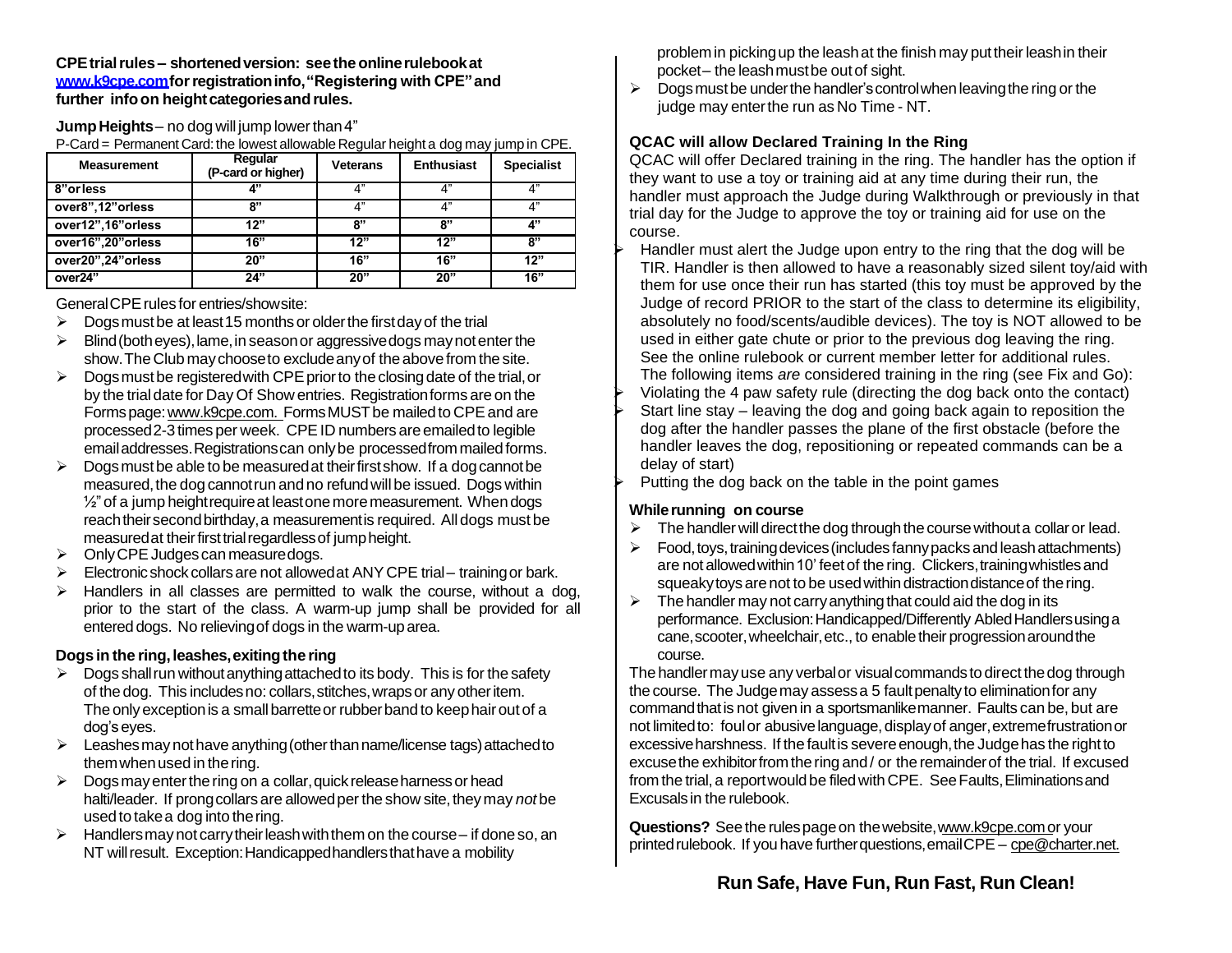**CPEtrialrules – shortenedversion: seetheonlinerulebookat [www.k9cpe.comf](http://www.k9cpe.com/)orregistrationinfo,"Registering with CPE"and further infoon heightcategoriesandrules.**

**Jump Heights** – no dog will jump lower than 4"

P-Card = Permanent Card: the lowest allowable Regular height a dog may jump in CPE.

| <b>Measurement</b> | Regular<br>(P-card or higher) | <b>Veterans</b> | <b>Enthusiast</b> | <b>Specialist</b> |
|--------------------|-------------------------------|-----------------|-------------------|-------------------|
| 8"orless           | 4"                            | 4"              | 4"                | 4"                |
| over8",12"orless   | ייא                           | 4"              | 4"                | 4"                |
| over12",16"orless  | 12"                           | ጸ"              | 8"                | 4"                |
| over16",20"orless  | 16"                           | 12"             | 12"               | 8"                |
| over20",24"orless  | 20"                           | 16"             | 16"               | 12"               |
| over24"            | 24"                           | 20"             | 20"               | 16"               |

General CPE rules for entries/show site:

- $\triangleright$  Dogs must be at least 15 months or older the first day of the trial
- $\triangleright$  Blind (both eyes), lame, in season or aggressive dogs may not enter the show.The Club maychooseto excludeanyof theabovefrom the site.
- $\triangleright$  Dogs must be registered with CPE prior to the closing date of the trial, or by the trial date for Day Of Show entries. Registrationforms are on the Forms page: www.k9cpe.com. Forms MUST be mailed to CPE and are processed 2-3 times per week. CPE ID numbers are emailed to legible email addresses. Registrations can only be processed from mailed forms.
- $\triangleright$  Dogs must be able to be measured at their first show. If a dog cannot be measured, the dog cannot run and no refund will be issued. Dogs within  $\frac{1}{2}$ " of a jump height require at least one more measurement. When dogs reach their second birthday, a measurement is required. All dogs must be measured at their first trial regardless of jump height.
- $\triangleright$  Only CPE Judges can measure dogs.
- $\triangleright$  Electronic shock collars are not allowed at ANY CPE trial–training or bark.
- $\triangleright$  Handlers in all classes are permitted to walk the course, without a dog, prior to the start of the class. A warm-up jump shall be provided for all entered dogs. No relieving of dogs in the warm-up area.

#### **Dogs in the ring,leashes,exitingthe ring**

- $\triangleright$  Dogs shall run without anything attached to its body. This is for the safety of the dog. This includesno: collars,stitches,wrapsor any otheritem. The only exception is a small barrette or rubber band to keep hair out of a dog'seyes.
- $\triangleright$  Leashes may not have anything (other than name/license tags) attached to them when used in the ring.
- $\triangleright$  Dogs may enter the ring on a collar, quick release harness or head halti/leader. If prong collars are allowed per the show site, they may *not* be usedto takea dog into thering.
- $\triangleright$  Handlers may not carry their leash with them on the course if done so, an NT will result. Exception: Handicapped handlers that have a mobility

problemin pickingup the leashat the finish may puttheir leashin their pocket– the leashmustbe outof sight.

 $\triangleright$  Dogs must be under the handler's control when leaving the ring or the judge may enter the run as No Time - NT.

### **QCAC will allow Declared Training In the Ring**

QCAC will offer Declared training in the ring. The handler has the option if they want to use a toy or training aid at any time during their run, the handler must approach the Judge during Walkthrough or previously in that trial day for the Judge to approve the toy or training aid for use on the course.

- Handler must alert the Judge upon entry to the ring that the dog will be TIR. Handler is then allowed to have a reasonably sized silent toy/aid with them for use once their run has started (this toy must be approved by the Judge of record PRIOR to the start of the class to determine its eligibility, absolutely no food/scents/audible devices). The toy is NOT allowed to be used in either gate chute or prior to the previous dog leaving the ring. See the online rulebook or current member letter for additional rules. The following items *are* considered training in the ring (see Fix and Go):
- Violating the 4 paw safety rule (directing the dog back onto the contact) Start line stay – leaving the dog and going back again to reposition the dog after the handler passes the plane of the first obstacle (before the handler leaves the dog, repositioning or repeated commands can be a delay of start)
- Putting the dog back on the table in the point games

### **Whilerunning on course**

- $\triangleright$  The handler will direct the dog through the course without a collar or lead.
- $\triangleright$  Food, toys, training devices (includes fanny packs and leash attachments) are not allowed within 10' feet of the ring. Clickers, training whistles and squeaky toys are not to be used within distraction distance of the ring.
- $\triangleright$  The handler may not carry anything that could aid the dog in its performance. Exclusion: Handicapped/Differently Abled Handlers using a cane, scooter, wheelchair, etc., to enable their progression around the course.

The handler may use any verbal or visual commands to direct the dog through the course. The Judge may assess a 5 fault penalty to elimination for any commandthatis not given in a sportsmanlikemanner. Faults can be, but are not limited to: foul or abusive language, display of anger, extreme frustration or excessive harshness. If the fault is severe enough, the Judge has the right to excusethe exhibitorfromthe ring and / or the remainderof the trial. If excused from the trial, a report would be filed with CPE. See Faults, Eliminations and Excusals in the rulebook.

**Questions?** See the rulespageon thewebsite[,www.k9cpe.como](http://www.k9cpe.com/)r your printed rulebook. If you have further questions, email CPE – [cpe@charter.net.](mailto:cpe@charter.net)

# **Run Safe, Have Fun, Run Fast, Run Clean!**